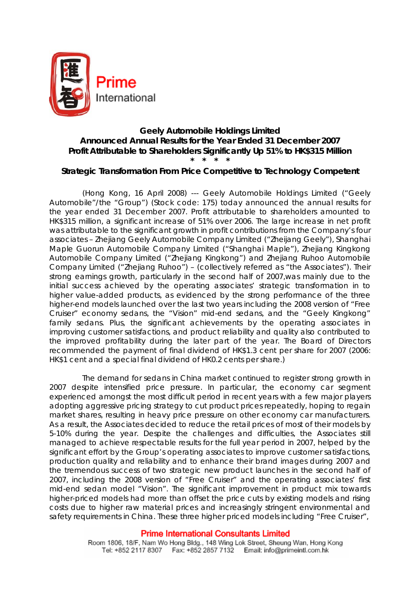

# **Geely Automobile Holdings Limited Announced Annual Results for the Year Ended 31 December 2007 Profit Attributable to Shareholders Significantly Up 51% to HK\$315 Million \* \* \* \***

# **Strategic Transformation From Price Competitive to Technology Competent**

(Hong Kong, 16 April 2008) --- Geely Automobile Holdings Limited ("Geely Automobile"/the "Group") (Stock code: 175) today announced the annual results for the year ended 31 December 2007. Profit attributable to shareholders amounted to HK\$315 million, a significant increase of 51% over 2006. The large increase in net profit was attributable to the significant growth in profit contributions from the Company's four associates – Zhejiang Geely Automobile Company Limited ("Zheijang Geely"), Shanghai Maple Guorun Automobile Company Limited ("Shanghai Maple"), Zhejiang Kingkong Automobile Company Limited ("Zhejiang Kingkong") and Zhejiang Ruhoo Automobile Company Limited ("Zhejiang Ruhoo") – (collectively referred as "the Associates"). Their strong earnings growth, particularly in the second half of 2007,was mainly due to the initial success achieved by the operating associates' strategic transformation in to higher value-added products, as evidenced by the strong performance of the three higher-end models launched over the last two years including the 2008 version of "Free Cruiser" economy sedans, the "Vision" mid-end sedans, and the "Geely Kingkong" family sedans. Plus, the significant achievements by the operating associates in improving customer satisfactions, and product reliability and quality also contributed to the improved profitability during the later part of the year. The Board of Directors recommended the payment of final dividend of HK\$1.3 cent per share for 2007 (2006: HK\$1 cent and a special final dividend of HK0.2 cents per share.)

The demand for sedans in China market continued to register strong growth in 2007 despite intensified price pressure. In particular, the economy car segment experienced amongst the most difficult period in recent years with a few major players adopting aggressive pricing strategy to cut product prices repeatedly, hoping to regain market shares, resulting in heavy price pressure on other economy car manufacturers. As a result, the Associates decided to reduce the retail prices of most of their models by 5-10% during the year. Despite the challenges and difficulties, the Associates still managed to achieve respectable results for the full year period in 2007, helped by the significant effort by the Group's operating associates to improve customer satisfactions, production quality and reliability and to enhance their brand images during 2007 and the tremendous success of two strategic new product launches in the second half of 2007, including the 2008 version of "Free Cruiser" and the operating associates' first mid-end sedan model "Vision". The significant improvement in product mix towards higher-priced models had more than offset the price cuts by existing models and rising costs due to higher raw material prices and increasingly stringent environmental and safety requirements in China. These three higher priced models including "Free Cruiser",

#### **Prime International Consultants Limited**

Room 1806, 18/F, Nam Wo Hong Bldg., 148 Wing Lok Street, Sheung Wan, Hong Kong Tel: +852 2117 8307 Fax: +852 2857 7132 Email: info@primeintl.com.hk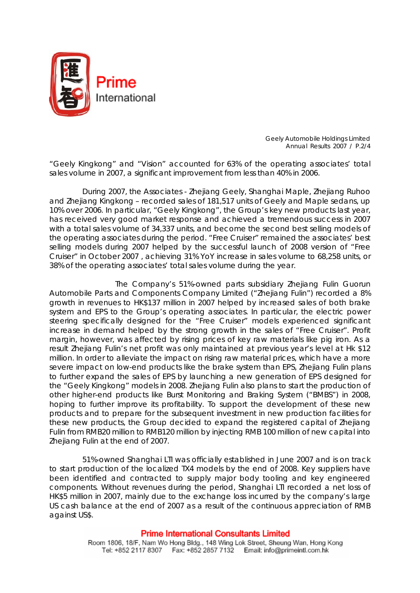

*Geely Automobile Holdings Limited Annual Results 2007 / P.2/4* 

"Geely Kingkong" and "Vision" accounted for 63% of the operating associates' total sales volume in 2007, a significant improvement from less than 40% in 2006.

During 2007, the Associates - Zhejiang Geely, Shanghai Maple, Zhejiang Ruhoo and Zhejiang Kingkong – recorded sales of 181,517 units of Geely and Maple sedans, up 10% over 2006. In particular, "Geely Kingkong", the Group's key new products last year, has received very good market response and achieved a tremendous success in 2007 with a total sales volume of 34,337 units, and become the second best selling models of the operating associates during the period. "Free Cruiser" remained the associates' best selling models during 2007 helped by the successful launch of 2008 version of "Free Cruiser" in October 2007 , achieving 31% YoY increase in sales volume to 68,258 units, or 38% of the operating associates' total sales volume during the year.

 The Company's 51%-owned parts subsidiary Zhejiang Fulin Guorun Automobile Parts and Components Company Limited ("Zhejiang Fulin") recorded a 8% growth in revenues to HK\$137 million in 2007 helped by increased sales of both brake system and EPS to the Group's operating associates. In particular, the electric power steering specifically designed for the "Free Cruiser" models experienced significant increase in demand helped by the strong growth in the sales of "Free Cruiser". Profit margin, however, was affected by rising prices of key raw materials like pig iron. As a result Zhejiang Fulin's net profit was only maintained at previous year's level at Hk \$12 million. In order to alleviate the impact on rising raw material prices, which have a more severe impact on low-end products like the brake system than EPS, Zhejiang Fulin plans to further expand the sales of EPS by launching a new generation of EPS designed for the "Geely Kingkong" models in 2008. Zhejiang Fulin also plans to start the production of other higher-end products like Burst Monitoring and Braking System ("BMBS") in 2008, hoping to further improve its profitability. To support the development of these new products and to prepare for the subsequent investment in new production facilities for these new products, the Group decided to expand the registered capital of Zhejiang Fulin from RMB20 million to RMB120 million by injecting RMB 100 million of new capital into Zhejiang Fulin at the end of 2007.

51%-owned Shanghai LTI was officially established in June 2007 and is on track to start production of the localized TX4 models by the end of 2008. Key suppliers have been identified and contracted to supply major body tooling and key engineered components. Without revenues during the period, Shanghai LTI recorded a net loss of HK\$5 million in 2007, mainly due to the exchange loss incurred by the company's large US cash balance at the end of 2007 as a result of the continuous appreciation of RMB against US\$.

#### **Prime International Consultants Limited**

Room 1806, 18/F, Nam Wo Hong Bldg., 148 Wing Lok Street, Sheung Wan, Hong Kong Tel: +852 2117 8307 Fax: +852 2857 7132 Email: info@primeintl.com.hk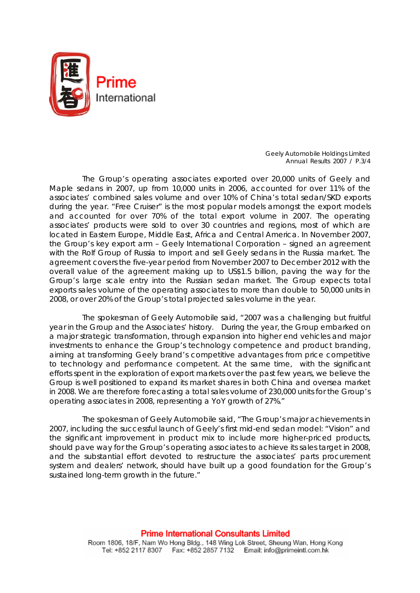

*Geely Automobile Holdings Limited Annual Results 2007 / P.3/4*

The Group's operating associates exported over 20,000 units of Geely and Maple sedans in 2007, up from 10,000 units in 2006, accounted for over 11% of the associates' combined sales volume and over 10% of China's total sedan/SKD exports during the year. "Free Cruiser" is the most popular models amongst the export models and accounted for over 70% of the total export volume in 2007. The operating associates' products were sold to over 30 countries and regions, most of which are located in Eastern Europe, Middle East, Africa and Central America. In November 2007, the Group's key export arm – Geely International Corporation – signed an agreement with the Rolf Group of Russia to import and sell Geely sedans in the Russia market. The agreement covers the five-year period from November 2007 to December 2012 with the overall value of the agreement making up to US\$1.5 billion, paving the way for the Group's large scale entry into the Russian sedan market. The Group expects total exports sales volume of the operating associates to more than double to 50,000 units in 2008, or over 20% of the Group's total projected sales volume in the year.

The spokesman of Geely Automobile said, "2007 was a challenging but fruitful year in the Group and the Associates' history. During the year, the Group embarked on a major strategic transformation, through expansion into higher end vehicles and major investments to enhance the Group's technology competence and product branding, aiming at transforming Geely brand's competitive advantages from price competitive to technology and performance competent. At the same time, with the significant efforts spent in the exploration of export markets over the past few years, we believe the Group is well positioned to expand its market shares in both China and oversea market in 2008. We are therefore forecasting a total sales volume of 230,000 units for the Group's operating associates in 2008, representing a YoY growth of 27%."

The spokesman of Geely Automobile said, "The Group's major achievements in 2007, including the successful launch of Geely's first mid-end sedan model: "Vision" and the significant improvement in product mix to include more higher-priced products, should pave way for the Group's operating associates to achieve its sales target in 2008, and the substantial effort devoted to restructure the associates' parts procurement system and dealers' network, should have built up a good foundation for the Group's sustained long-term growth in the future."

> **Prime International Consultants Limited** Room 1806, 18/F, Nam Wo Hong Bldg., 148 Wing Lok Street, Sheung Wan, Hong Kong Tel: +852 2117 8307 Fax: +852 2857 7132 Email: info@primeintl.com.hk